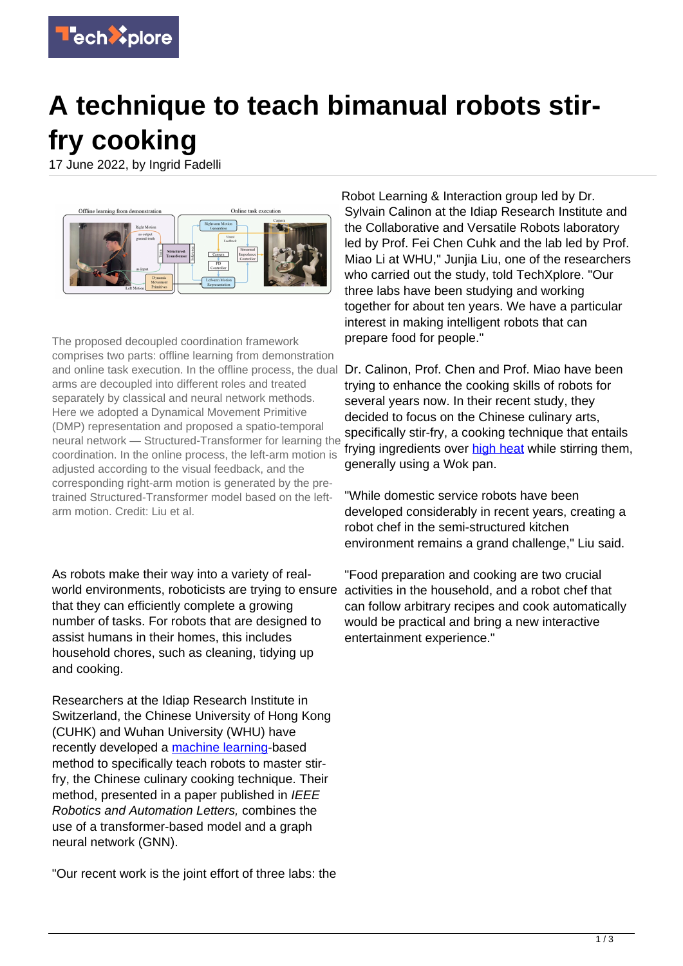

## **A technique to teach bimanual robots stirfry cooking**

17 June 2022, by Ingrid Fadelli



The proposed decoupled coordination framework comprises two parts: offline learning from demonstration and online task execution. In the offline process, the dual Dr. Calinon, Prof. Chen and Prof. Miao have been arms are decoupled into different roles and treated separately by classical and neural network methods. Here we adopted a Dynamical Movement Primitive (DMP) representation and proposed a spatio-temporal neural network — Structured-Transformer for learning the coordination. In the online process, the left-arm motion is adjusted according to the visual feedback, and the corresponding right-arm motion is generated by the pretrained Structured-Transformer model based on the leftarm motion. Credit: Liu et al.

As robots make their way into a variety of realworld environments, roboticists are trying to ensure activities in the household, and a robot chef that that they can efficiently complete a growing number of tasks. For robots that are designed to assist humans in their homes, this includes household chores, such as cleaning, tidying up and cooking.

Researchers at the Idiap Research Institute in Switzerland, the Chinese University of Hong Kong (CUHK) and Wuhan University (WHU) have recently developed a [machine learning-](https://techxplore.com/tags/machine+learning/)based method to specifically teach robots to master stirfry, the Chinese culinary cooking technique. Their method, presented in a paper published in IEEE Robotics and Automation Letters, combines the use of a transformer-based model and a graph neural network (GNN).

"Our recent work is the joint effort of three labs: the

Robot Learning & Interaction group led by Dr. Sylvain Calinon at the Idiap Research Institute and the Collaborative and Versatile Robots laboratory led by Prof. Fei Chen Cuhk and the lab led by Prof. Miao Li at WHU," Junjia Liu, one of the researchers who carried out the study, told TechXplore. "Our three labs have been studying and working together for about ten years. We have a particular interest in making intelligent robots that can prepare food for people."

trying to enhance the cooking skills of robots for several years now. In their recent study, they decided to focus on the Chinese culinary arts, specifically stir-fry, a cooking technique that entails frying ingredients over [high heat](https://techxplore.com/tags/high+heat/) while stirring them, generally using a Wok pan.

"While domestic service robots have been developed considerably in recent years, creating a robot chef in the semi-structured kitchen environment remains a grand challenge," Liu said.

"Food preparation and cooking are two crucial can follow arbitrary recipes and cook automatically would be practical and bring a new interactive entertainment experience."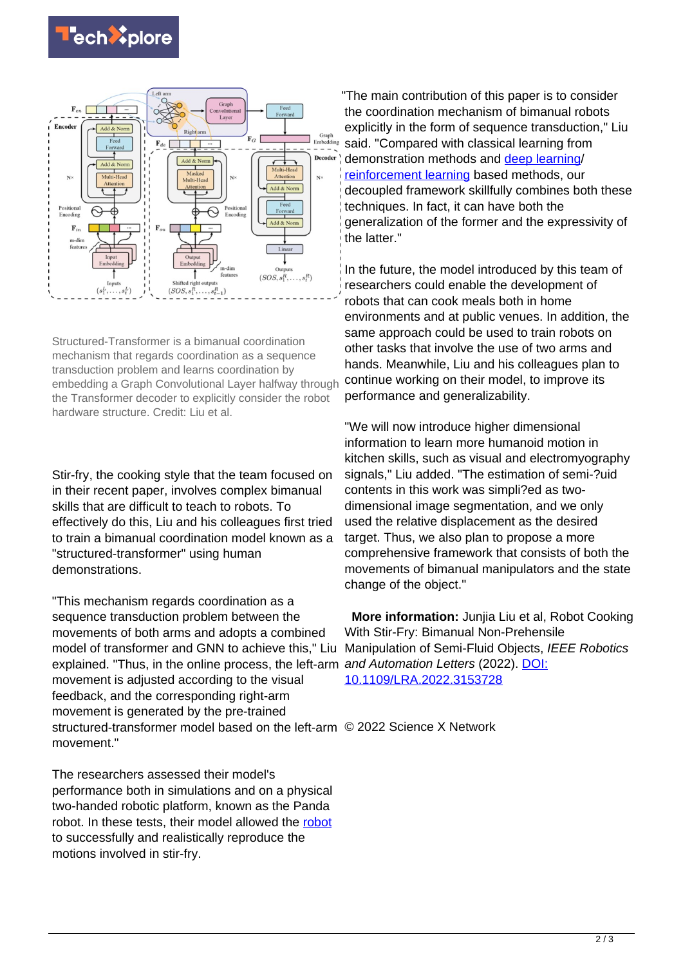



Structured-Transformer is a bimanual coordination mechanism that regards coordination as a sequence transduction problem and learns coordination by embedding a Graph Convolutional Layer halfway through the Transformer decoder to explicitly consider the robot hardware structure. Credit: Liu et al.

Stir-fry, the cooking style that the team focused on in their recent paper, involves complex bimanual skills that are difficult to teach to robots. To effectively do this, Liu and his colleagues first tried to train a bimanual coordination model known as a "structured-transformer" using human demonstrations.

"This mechanism regards coordination as a sequence transduction problem between the movements of both arms and adopts a combined model of transformer and GNN to achieve this," Liu Manipulation of Semi-Fluid Objects, IEEE Robotics explained. "Thus, in the online process, the left-arm and Automation Letters (2022). [DOI:](https://dx.doi.org/10.1109/LRA.2022.3153728) movement is adjusted according to the visual feedback, and the corresponding right-arm movement is generated by the pre-trained structured-transformer model based on the left-arm © 2022 Science X Network movement."

The researchers assessed their model's performance both in simulations and on a physical two-handed robotic platform, known as the Panda robot. In these tests, their model allowed the [robot](https://techxplore.com/tags/robot/) to successfully and realistically reproduce the motions involved in stir-fry.

"The main contribution of this paper is to consider the coordination mechanism of bimanual robots explicitly in the form of sequence transduction," Liu said. "Compared with classical learning from demonstration methods and [deep learning/](https://techxplore.com/tags/deep+learning/) [reinforcement learning](https://techxplore.com/tags/reinforcement+learning/) based methods, our decoupled framework skillfully combines both these techniques. In fact, it can have both the generalization of the former and the expressivity of the latter."

In the future, the model introduced by this team of researchers could enable the development of robots that can cook meals both in home environments and at public venues. In addition, the same approach could be used to train robots on other tasks that involve the use of two arms and hands. Meanwhile, Liu and his colleagues plan to continue working on their model, to improve its performance and generalizability.

"We will now introduce higher dimensional information to learn more humanoid motion in kitchen skills, such as visual and electromyography signals," Liu added. "The estimation of semi-?uid contents in this work was simpli?ed as twodimensional image segmentation, and we only used the relative displacement as the desired target. Thus, we also plan to propose a more comprehensive framework that consists of both the movements of bimanual manipulators and the state change of the object."

 **More information:** Junjia Liu et al, Robot Cooking With Stir-Fry: Bimanual Non-Prehensile [10.1109/LRA.2022.3153728](https://dx.doi.org/10.1109/LRA.2022.3153728)